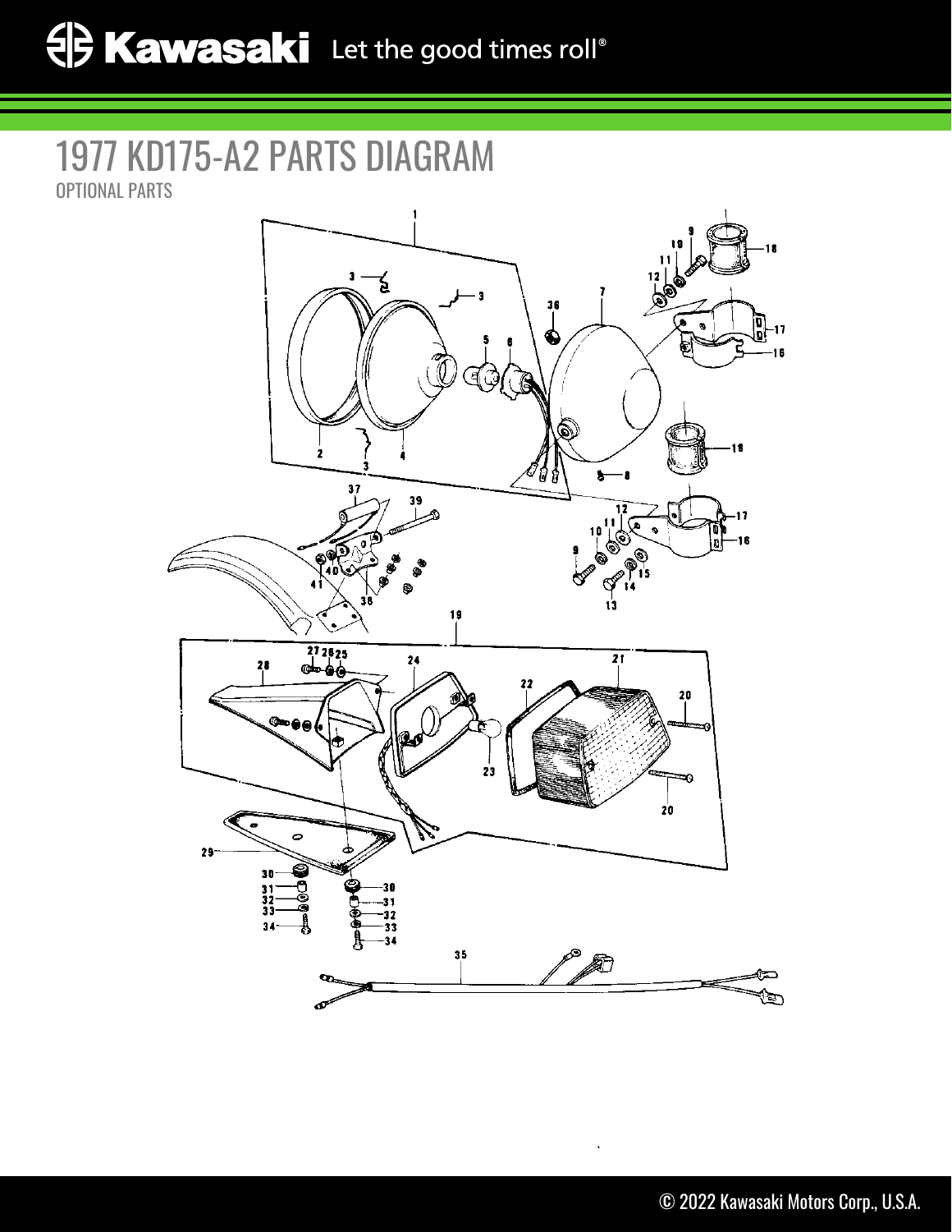## 1977 KD175-A2 PARTS DIAGRAM OPTIONAL PARTS

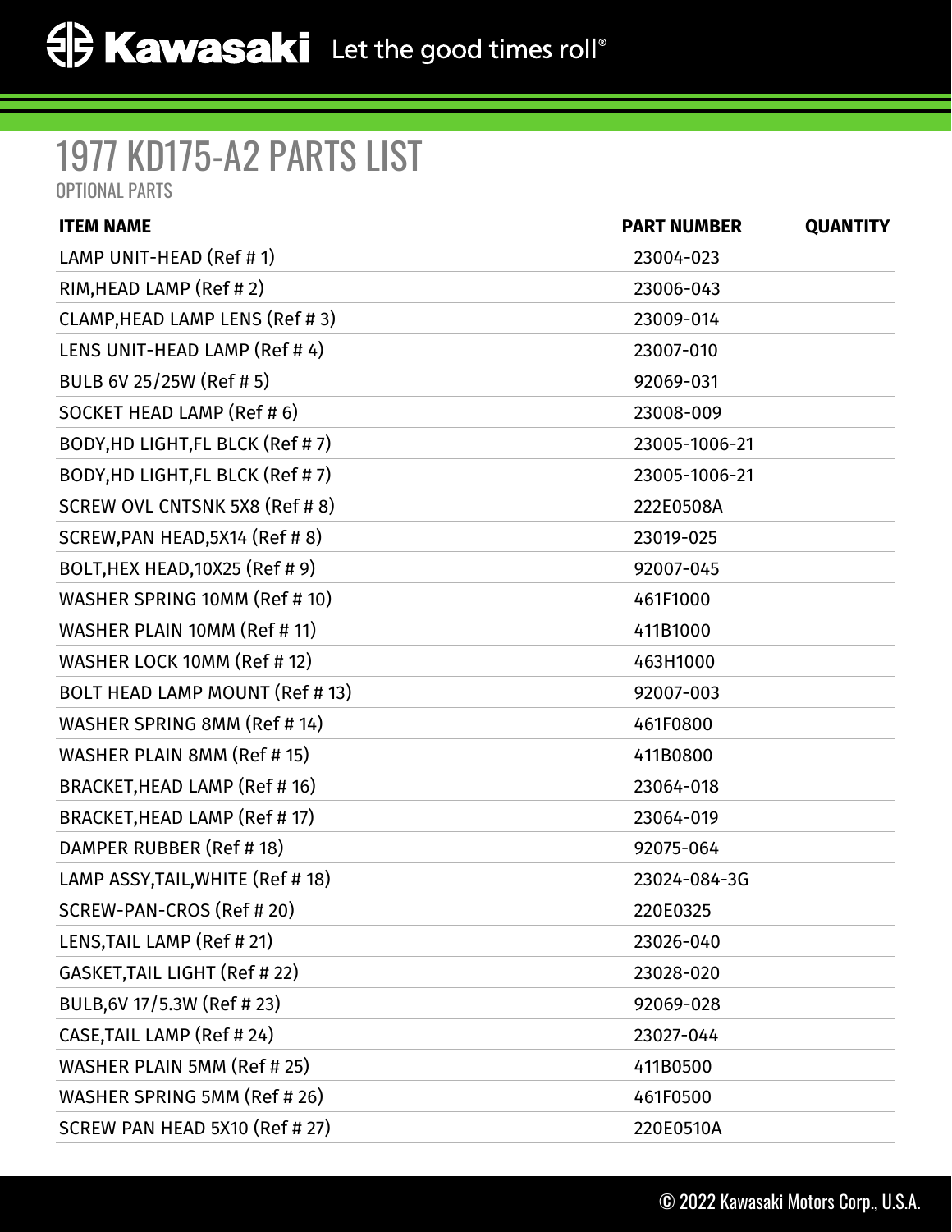## 1977 KD175-A2 PARTS LIST

OPTIONAL PARTS

| <b>ITEM NAME</b>                  | <b>PART NUMBER</b> | <b>QUANTITY</b> |
|-----------------------------------|--------------------|-----------------|
| LAMP UNIT-HEAD (Ref #1)           | 23004-023          |                 |
| RIM, HEAD LAMP (Ref #2)           | 23006-043          |                 |
| CLAMP, HEAD LAMP LENS (Ref #3)    | 23009-014          |                 |
| LENS UNIT-HEAD LAMP (Ref #4)      | 23007-010          |                 |
| BULB 6V 25/25W (Ref # 5)          | 92069-031          |                 |
| SOCKET HEAD LAMP (Ref # 6)        | 23008-009          |                 |
| BODY, HD LIGHT, FL BLCK (Ref #7)  | 23005-1006-21      |                 |
| BODY, HD LIGHT, FL BLCK (Ref #7)  | 23005-1006-21      |                 |
| SCREW OVL CNTSNK 5X8 (Ref # 8)    | 222E0508A          |                 |
| SCREW, PAN HEAD, 5X14 (Ref # 8)   | 23019-025          |                 |
| BOLT, HEX HEAD, 10X25 (Ref # 9)   | 92007-045          |                 |
| WASHER SPRING 10MM (Ref # 10)     | 461F1000           |                 |
| WASHER PLAIN 10MM (Ref # 11)      | 411B1000           |                 |
| WASHER LOCK 10MM (Ref # 12)       | 463H1000           |                 |
| BOLT HEAD LAMP MOUNT (Ref # 13)   | 92007-003          |                 |
| WASHER SPRING 8MM (Ref # 14)      | 461F0800           |                 |
| WASHER PLAIN 8MM (Ref #15)        | 411B0800           |                 |
| BRACKET, HEAD LAMP (Ref # 16)     | 23064-018          |                 |
| BRACKET, HEAD LAMP (Ref #17)      | 23064-019          |                 |
| DAMPER RUBBER (Ref #18)           | 92075-064          |                 |
| LAMP ASSY, TAIL, WHITE (Ref # 18) | 23024-084-3G       |                 |
| SCREW-PAN-CROS (Ref # 20)         | 220E0325           |                 |
| LENS, TAIL LAMP (Ref # 21)        | 23026-040          |                 |
| GASKET, TAIL LIGHT (Ref # 22)     | 23028-020          |                 |
| BULB, 6V 17/5.3W (Ref # 23)       | 92069-028          |                 |
| CASE, TAIL LAMP (Ref # 24)        | 23027-044          |                 |
| WASHER PLAIN 5MM (Ref # 25)       | 411B0500           |                 |
| WASHER SPRING 5MM (Ref # 26)      | 461F0500           |                 |
| SCREW PAN HEAD 5X10 (Ref # 27)    | 220E0510A          |                 |